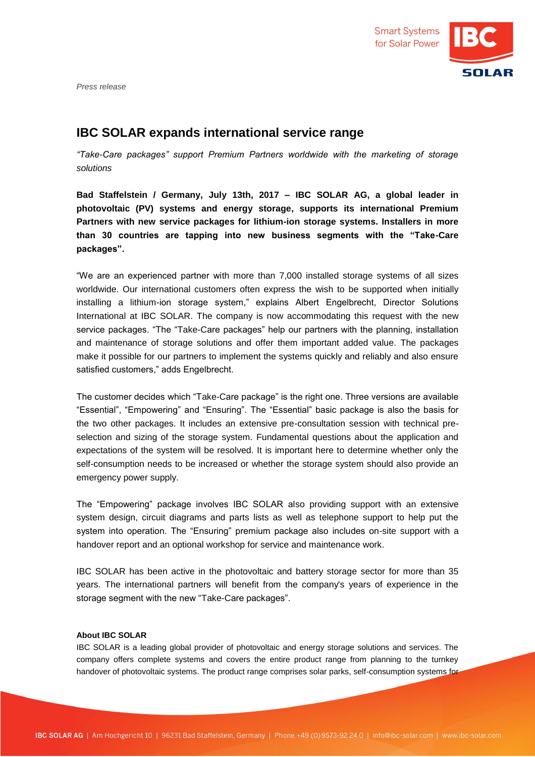

*Press release*

## **IBC SOLAR expands international service range**

*"Take-Care packages" support Premium Partners worldwide with the marketing of storage solutions*

**Bad Staffelstein / Germany, July 13th, 2017 – IBC SOLAR AG, a global leader in photovoltaic (PV) systems and energy storage, supports its international Premium Partners with new service packages for lithium-ion storage systems. Installers in more than 30 countries are tapping into new business segments with the "Take-Care packages".**

"We are an experienced partner with more than 7,000 installed storage systems of all sizes worldwide. Our international customers often express the wish to be supported when initially installing a lithium-ion storage system," explains Albert Engelbrecht, Director Solutions International at IBC SOLAR. The company is now accommodating this request with the new service packages. "The "Take-Care packages" help our partners with the planning, installation and maintenance of storage solutions and offer them important added value. The packages make it possible for our partners to implement the systems quickly and reliably and also ensure satisfied customers," adds Engelbrecht.

The customer decides which "Take-Care package" is the right one. Three versions are available "Essential", "Empowering" and "Ensuring". The "Essential" basic package is also the basis for the two other packages. It includes an extensive pre-consultation session with technical preselection and sizing of the storage system. Fundamental questions about the application and expectations of the system will be resolved. It is important here to determine whether only the self-consumption needs to be increased or whether the storage system should also provide an emergency power supply.

The "Empowering" package involves IBC SOLAR also providing support with an extensive system design, circuit diagrams and parts lists as well as telephone support to help put the system into operation. The "Ensuring" premium package also includes on-site support with a handover report and an optional workshop for service and maintenance work.

IBC SOLAR has been active in the photovoltaic and battery storage sector for more than 35 years. The international partners will benefit from the company's years of experience in the storage segment with the new "Take-Care packages".

## **About IBC SOLAR**

IBC SOLAR is a leading global provider of photovoltaic and energy storage solutions and services. The company offers complete systems and covers the entire product range from planning to the turnkey handover of photovoltaic systems. The product range comprises solar parks, self-consumption systems for